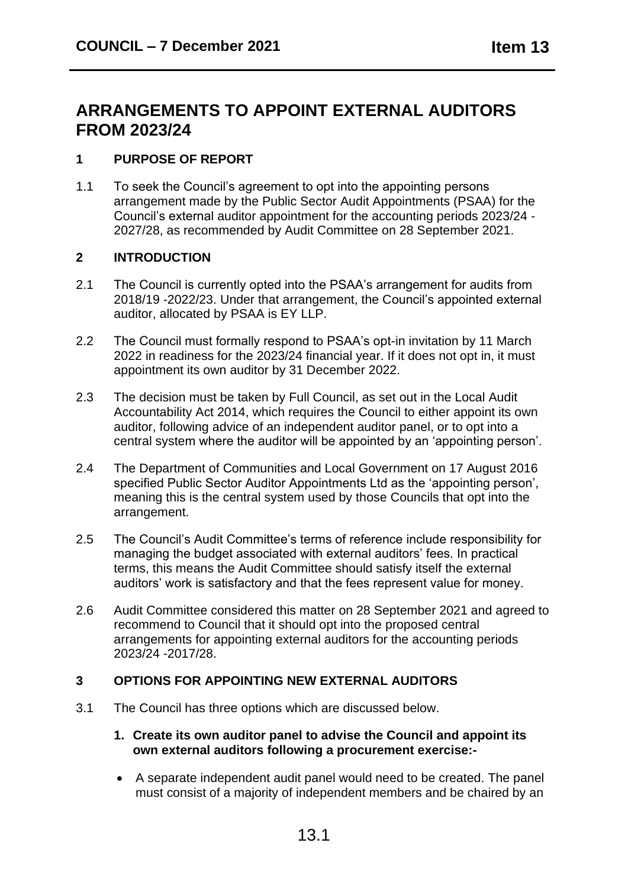# **ARRANGEMENTS TO APPOINT EXTERNAL AUDITORS FROM 2023/24**

# **1 PURPOSE OF REPORT**

1.1 To seek the Council's agreement to opt into the appointing persons arrangement made by the Public Sector Audit Appointments (PSAA) for the Council's external auditor appointment for the accounting periods 2023/24 - 2027/28, as recommended by Audit Committee on 28 September 2021.

## **2 INTRODUCTION**

- 2.1 The Council is currently opted into the PSAA's arrangement for audits from 2018/19 -2022/23. Under that arrangement, the Council's appointed external auditor, allocated by PSAA is EY LLP.
- 2.2 The Council must formally respond to PSAA's opt-in invitation by 11 March 2022 in readiness for the 2023/24 financial year. If it does not opt in, it must appointment its own auditor by 31 December 2022.
- 2.3 The decision must be taken by Full Council, as set out in the Local Audit Accountability Act 2014, which requires the Council to either appoint its own auditor, following advice of an independent auditor panel, or to opt into a central system where the auditor will be appointed by an 'appointing person'.
- 2.4 The Department of Communities and Local Government on 17 August 2016 specified Public Sector Auditor Appointments Ltd as the 'appointing person', meaning this is the central system used by those Councils that opt into the arrangement.
- 2.5 The Council's Audit Committee's terms of reference include responsibility for managing the budget associated with external auditors' fees. In practical terms, this means the Audit Committee should satisfy itself the external auditors' work is satisfactory and that the fees represent value for money.
- 2.6 Audit Committee considered this matter on 28 September 2021 and agreed to recommend to Council that it should opt into the proposed central arrangements for appointing external auditors for the accounting periods 2023/24 -2017/28.

# **3 OPTIONS FOR APPOINTING NEW EXTERNAL AUDITORS**

3.1 The Council has three options which are discussed below.

#### **1. Create its own auditor panel to advise the Council and appoint its own external auditors following a procurement exercise:-**

• A separate independent audit panel would need to be created. The panel must consist of a majority of independent members and be chaired by an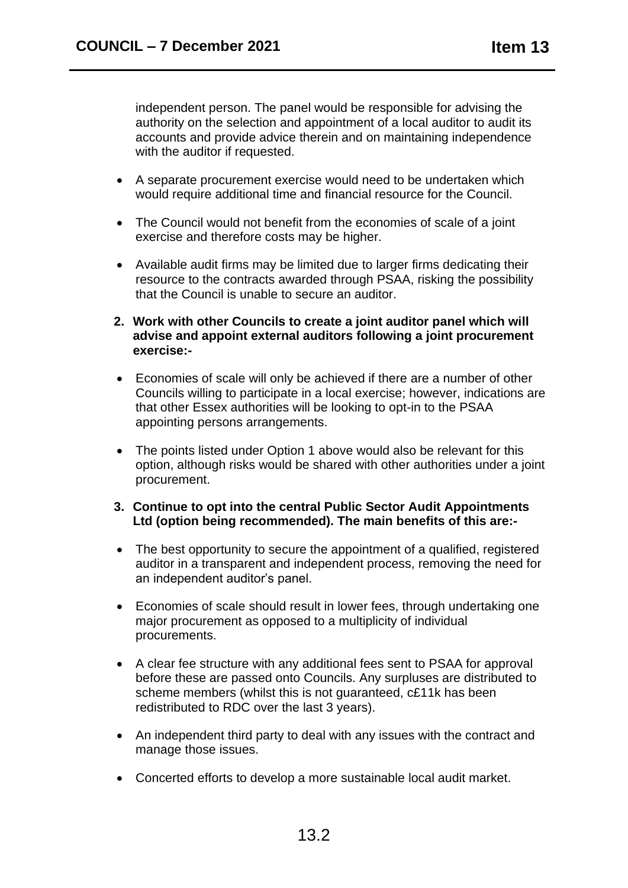independent person. The panel would be responsible for advising the authority on the selection and appointment of a local auditor to audit its accounts and provide advice therein and on maintaining independence with the auditor if requested.

- A separate procurement exercise would need to be undertaken which would require additional time and financial resource for the Council.
- The Council would not benefit from the economies of scale of a joint exercise and therefore costs may be higher.
- Available audit firms may be limited due to larger firms dedicating their resource to the contracts awarded through PSAA, risking the possibility that the Council is unable to secure an auditor.
- **2. Work with other Councils to create a joint auditor panel which will advise and appoint external auditors following a joint procurement exercise:-**
- Economies of scale will only be achieved if there are a number of other Councils willing to participate in a local exercise; however, indications are that other Essex authorities will be looking to opt-in to the PSAA appointing persons arrangements.
- The points listed under Option 1 above would also be relevant for this option, although risks would be shared with other authorities under a joint procurement.
- **3. Continue to opt into the central Public Sector Audit Appointments Ltd (option being recommended). The main benefits of this are:-**
- The best opportunity to secure the appointment of a qualified, registered auditor in a transparent and independent process, removing the need for an independent auditor's panel.
- Economies of scale should result in lower fees, through undertaking one major procurement as opposed to a multiplicity of individual procurements.
- A clear fee structure with any additional fees sent to PSAA for approval before these are passed onto Councils. Any surpluses are distributed to scheme members (whilst this is not guaranteed, c£11k has been redistributed to RDC over the last 3 years).
- An independent third party to deal with any issues with the contract and manage those issues.
- Concerted efforts to develop a more sustainable local audit market.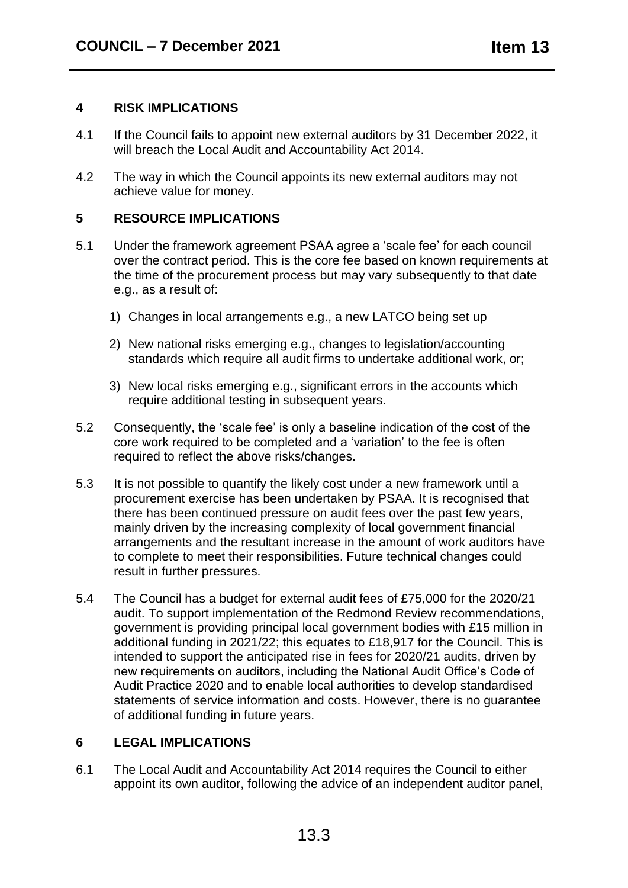#### **4 RISK IMPLICATIONS**

- 4.1 If the Council fails to appoint new external auditors by 31 December 2022, it will breach the Local Audit and Accountability Act 2014.
- 4.2 The way in which the Council appoints its new external auditors may not achieve value for money.

## **5 RESOURCE IMPLICATIONS**

- 5.1 Under the framework agreement PSAA agree a 'scale fee' for each council over the contract period. This is the core fee based on known requirements at the time of the procurement process but may vary subsequently to that date e.g., as a result of:
	- 1) Changes in local arrangements e.g., a new LATCO being set up
	- 2) New national risks emerging e.g., changes to legislation/accounting standards which require all audit firms to undertake additional work, or;
	- 3) New local risks emerging e.g., significant errors in the accounts which require additional testing in subsequent years.
- 5.2 Consequently, the 'scale fee' is only a baseline indication of the cost of the core work required to be completed and a 'variation' to the fee is often required to reflect the above risks/changes.
- 5.3 It is not possible to quantify the likely cost under a new framework until a procurement exercise has been undertaken by PSAA. It is recognised that there has been continued pressure on audit fees over the past few years, mainly driven by the increasing complexity of local government financial arrangements and the resultant increase in the amount of work auditors have to complete to meet their responsibilities. Future technical changes could result in further pressures.
- 5.4 The Council has a budget for external audit fees of £75,000 for the 2020/21 audit. To support implementation of the Redmond Review recommendations, government is providing principal local government bodies with £15 million in additional funding in 2021/22; this equates to £18,917 for the Council. This is intended to support the anticipated rise in fees for 2020/21 audits, driven by new requirements on auditors, including the National Audit Office's Code of Audit Practice 2020 and to enable local authorities to develop standardised statements of service information and costs. However, there is no guarantee of additional funding in future years.

#### **6 LEGAL IMPLICATIONS**

6.1 The Local Audit and Accountability Act 2014 requires the Council to either appoint its own auditor, following the advice of an independent auditor panel,